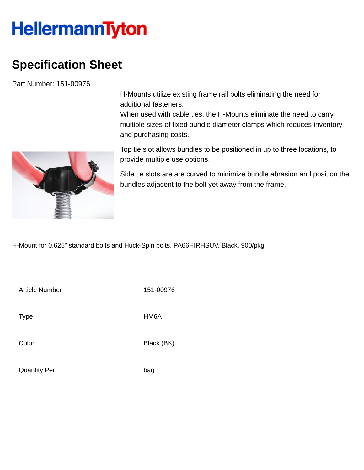## **HellermannTyton**

## **Specification Sheet**

Part Number: 151-00976

H-Mounts utilize existing frame rail bolts eliminating the need for additional fasteners.

When used with cable ties, the H-Mounts eliminate the need to carry multiple sizes of fixed bundle diameter clamps which reduces inventory and purchasing costs.



Top tie slot allows bundles to be positioned in up to three locations, to provide multiple use options.

Side tie slots are are curved to minimize bundle abrasion and position the bundles adjacent to the bolt yet away from the frame.

H-Mount for 0.625" standard bolts and Huck-Spin bolts, PA66HIRHSUV, Black, 900/pkg

Article Number 151-00976 Type HM6A

Color Black (BK)

Quantity Per bag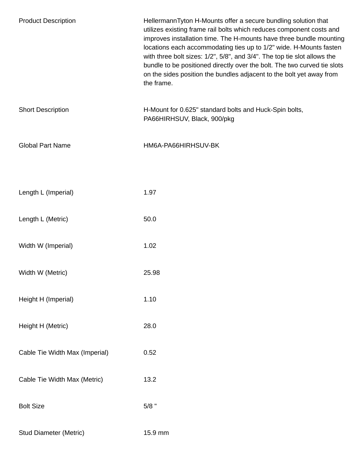| <b>Product Description</b>     | HellermannTyton H-Mounts offer a secure bundling solution that<br>utilizes existing frame rail bolts which reduces component costs and<br>improves installation time. The H-mounts have three bundle mounting<br>locations each accommodating ties up to 1/2" wide. H-Mounts fasten<br>with three bolt sizes: 1/2", 5/8", and 3/4". The top tie slot allows the<br>bundle to be positioned directly over the bolt. The two curved tie slots<br>on the sides position the bundles adjacent to the bolt yet away from<br>the frame. |
|--------------------------------|-----------------------------------------------------------------------------------------------------------------------------------------------------------------------------------------------------------------------------------------------------------------------------------------------------------------------------------------------------------------------------------------------------------------------------------------------------------------------------------------------------------------------------------|
| <b>Short Description</b>       | H-Mount for 0.625" standard bolts and Huck-Spin bolts,<br>PA66HIRHSUV, Black, 900/pkg                                                                                                                                                                                                                                                                                                                                                                                                                                             |
| <b>Global Part Name</b>        | HM6A-PA66HIRHSUV-BK                                                                                                                                                                                                                                                                                                                                                                                                                                                                                                               |
|                                | 1.97                                                                                                                                                                                                                                                                                                                                                                                                                                                                                                                              |
| Length L (Imperial)            |                                                                                                                                                                                                                                                                                                                                                                                                                                                                                                                                   |
| Length L (Metric)              | 50.0                                                                                                                                                                                                                                                                                                                                                                                                                                                                                                                              |
| Width W (Imperial)             | 1.02                                                                                                                                                                                                                                                                                                                                                                                                                                                                                                                              |
| Width W (Metric)               | 25.98                                                                                                                                                                                                                                                                                                                                                                                                                                                                                                                             |
| Height H (Imperial)            | 1.10                                                                                                                                                                                                                                                                                                                                                                                                                                                                                                                              |
| Height H (Metric)              | 28.0                                                                                                                                                                                                                                                                                                                                                                                                                                                                                                                              |
| Cable Tie Width Max (Imperial) | 0.52                                                                                                                                                                                                                                                                                                                                                                                                                                                                                                                              |
| Cable Tie Width Max (Metric)   | 13.2                                                                                                                                                                                                                                                                                                                                                                                                                                                                                                                              |
| <b>Bolt Size</b>               | $5/8$ "                                                                                                                                                                                                                                                                                                                                                                                                                                                                                                                           |
| <b>Stud Diameter (Metric)</b>  | 15.9 mm                                                                                                                                                                                                                                                                                                                                                                                                                                                                                                                           |